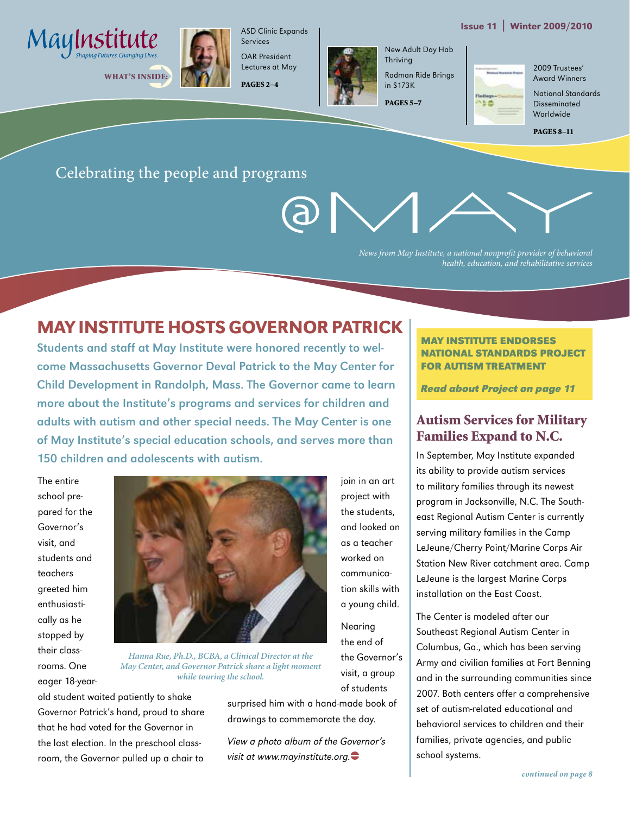





ASD Clinic Expands Services OAR President

Lectures at May PAGES 2–4



join in an art project with the students, and looked on as a teacher worked on communication skills with a young child.

Nearing the end of the Governor's visit, a group of students

New Adult Day Hab Thriving Rodman Ride Brings

in \$173K PAGES 5–7 150

2009 Trustees' Award Winners

National Standards Disseminated Worldwide

PAGES 8–11

#### Celebrating the people and programs

*News from May Institute, a national nonprofit provider of behavioral health, education, and rehabilitative services*

## May Institute hosts Governor Patrick

Students and staff at May Institute were honored recently to welcome Massachusetts Governor Deval Patrick to the May Center for Child Development in Randolph, Mass. The Governor came to learn more about the Institute's programs and services for children and adults with autism and other special needs. The May Center is one of May Institute's special education schools, and serves more than 150 children and adolescents with autism.

The entire school prepared for the Governor's visit, and students and teachers greeted him enthusiastically as he stopped by their classrooms. One eager 18-year-



*Hanna Rue, Ph.D., BCBA, a Clinical Director at the May Center, and Governor Patrick share a light moment while touring the school.*

old student waited patiently to shake Governor Patrick's hand, proud to share that he had voted for the Governor in the last election. In the preschool classroom, the Governor pulled up a chair to

surprised him with a hand-made book of drawings to commemorate the day.

View a photo album of the Governor's visit at www.mayinstitute.org. $\bullet$ 

#### **May Institute Endorses National Standards Project for autism treatment**

**Read about Project on page 11**

#### Autism Services for Military Families Expand to N.C.

In September, May Institute expanded its ability to provide autism services to military families through its newest program in Jacksonville, N.C. The Southeast Regional Autism Center is currently serving military families in the Camp LeJeune/Cherry Point/Marine Corps Air Station New River catchment area. Camp LeJeune is the largest Marine Corps installation on the East Coast.

The Center is modeled after our Southeast Regional Autism Center in Columbus, Ga., which has been serving Army and civilian families at Fort Benning and in the surrounding communities since 2007. Both centers offer a comprehensive set of autism-related educational and behavioral services to children and their families, private agencies, and public school systems.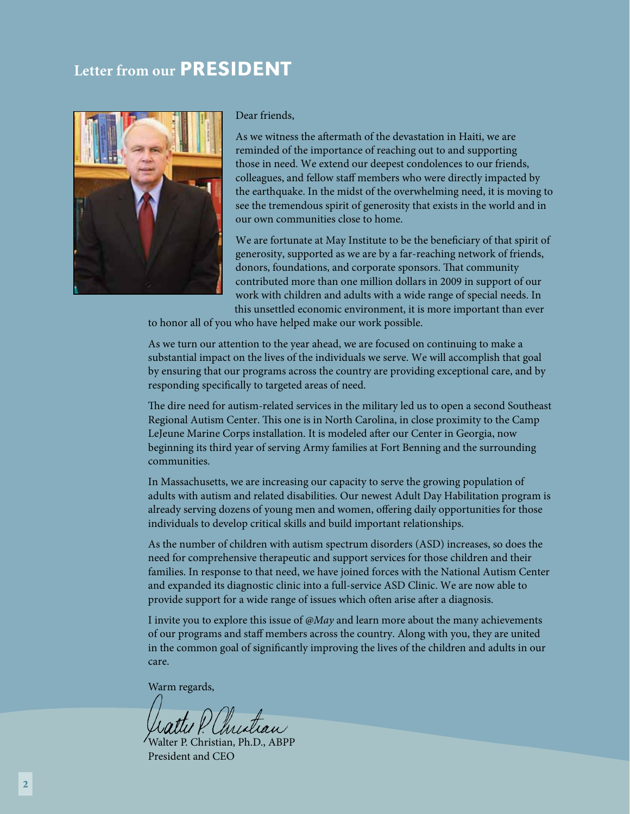## **Letter from our PRESIDENT**



Dear friends,

As we witness the aftermath of the devastation in Haiti, we are reminded of the importance of reaching out to and supporting those in need. We extend our deepest condolences to our friends, colleagues, and fellow staff members who were directly impacted by the earthquake. In the midst of the overwhelming need, it is moving to see the tremendous spirit of generosity that exists in the world and in our own communities close to home.

We are fortunate at May Institute to be the beneficiary of that spirit of generosity, supported as we are by a far-reaching network of friends, donors, foundations, and corporate sponsors. That community contributed more than one million dollars in 2009 in support of our work with children and adults with a wide range of special needs. In this unsettled economic environment, it is more important than ever

to honor all of you who have helped make our work possible.

As we turn our attention to the year ahead, we are focused on continuing to make a substantial impact on the lives of the individuals we serve. We will accomplish that goal by ensuring that our programs across the country are providing exceptional care, and by responding specifically to targeted areas of need.

The dire need for autism-related services in the military led us to open a second Southeast Regional Autism Center. This one is in North Carolina, in close proximity to the Camp LeJeune Marine Corps installation. It is modeled after our Center in Georgia, now beginning its third year of serving Army families at Fort Benning and the surrounding communities.

In Massachusetts, we are increasing our capacity to serve the growing population of adults with autism and related disabilities. Our newest Adult Day Habilitation program is already serving dozens of young men and women, offering daily opportunities for those individuals to develop critical skills and build important relationships.

As the number of children with autism spectrum disorders (ASD) increases, so does the need for comprehensive therapeutic and support services for those children and their families. In response to that need, we have joined forces with the National Autism Center and expanded its diagnostic clinic into a full-service ASD Clinic. We are now able to provide support for a wide range of issues which often arise after a diagnosis.

I invite you to explore this issue of *@May* and learn more about the many achievements of our programs and staff members across the country. Along with you, they are united in the common goal of significantly improving the lives of the children and adults in our care.

Warm regards,

Christian

Walter P. Christian, Ph.D., ABPP President and CEO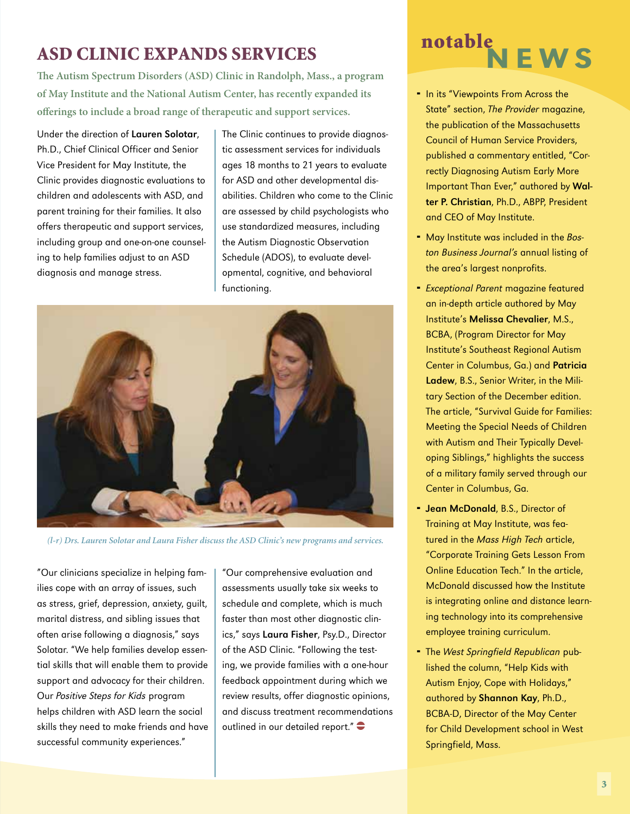## ASD Clinic Expands Services

**The Autism Spectrum Disorders (ASD) Clinic in Randolph, Mass., a program of May Institute and the National Autism Center, has recently expanded its offerings to include a broad range of therapeutic and support services.**

Under the direction of Lauren Solotar, Ph.D., Chief Clinical Officer and Senior Vice President for May Institute, the Clinic provides diagnostic evaluations to children and adolescents with ASD, and parent training for their families. It also offers therapeutic and support services, including group and one-on-one counseling to help families adjust to an ASD diagnosis and manage stress.

The Clinic continues to provide diagnostic assessment services for individuals ages 18 months to 21 years to evaluate for ASD and other developmental disabilities. Children who come to the Clinic are assessed by child psychologists who use standardized measures, including the Autism Diagnostic Observation Schedule (ADOS), to evaluate developmental, cognitive, and behavioral functioning.



*(l-r) Drs. Lauren Solotar and Laura Fisher discuss the ASD Clinic's new programs and services.*

"Our clinicians specialize in helping families cope with an array of issues, such as stress, grief, depression, anxiety, guilt, marital distress, and sibling issues that often arise following a diagnosis," says Solotar. "We help families develop essential skills that will enable them to provide support and advocacy for their children. Our Positive Steps for Kids program helps children with ASD learn the social skills they need to make friends and have successful community experiences."

"Our comprehensive evaluation and assessments usually take six weeks to schedule and complete, which is much faster than most other diagnostic clinics," says Laura Fisher, Psy.D., Director of the ASD Clinic. "Following the testing, we provide families with a one-hour feedback appointment during which we review results, offer diagnostic opinions, and discuss treatment recommendations outlined in our detailed report." $\bullet$ 

## **NEWS** notable

- In its "Viewpoints From Across the State" section, The Provider magazine, the publication of the Massachusetts Council of Human Service Providers, published a commentary entitled, "Correctly Diagnosing Autism Early More Important Than Ever," authored by Walter P. Christian, Ph.D., ABPP, President and CEO of May Institute.
- May Institute was included in the Boston Business Journal's annual listing of the area's largest nonprofits.
- **Exceptional Parent magazine featured** an in-depth article authored by May Institute's Melissa Chevalier, M.S., BCBA, (Program Director for May Institute's Southeast Regional Autism Center in Columbus, Ga.) and Patricia Ladew, B.S., Senior Writer, in the Military Section of the December edition. The article, "Survival Guide for Families: Meeting the Special Needs of Children with Autism and Their Typically Developing Siblings," highlights the success of a military family served through our Center in Columbus, Ga.
- **Jean McDonald**, B.S., Director of Training at May Institute, was featured in the Mass High Tech article, "Corporate Training Gets Lesson From Online Education Tech." In the article, McDonald discussed how the Institute is integrating online and distance learning technology into its comprehensive employee training curriculum.
- The West Springfield Republican published the column, "Help Kids with Autism Enjoy, Cope with Holidays," authored by Shannon Kay, Ph.D., BCBA-D, Director of the May Center for Child Development school in West Springfield, Mass.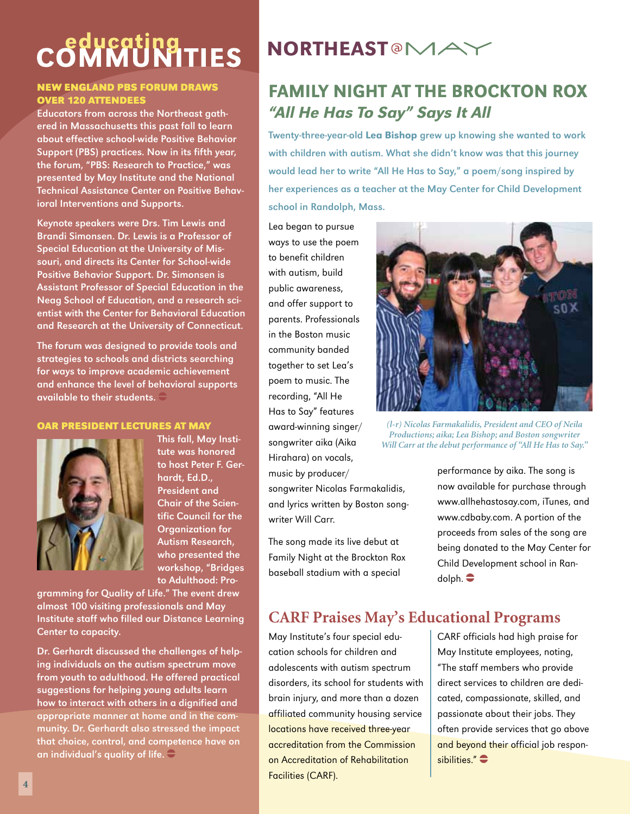# COMMUNITIES

#### **New England PBS Forum Draws Over 120 Attendees**

Educators from across the Northeast gathered in Massachusetts this past fall to learn about effective school-wide Positive Behavior Support (PBS) practices. Now in its fifth year, the forum, "PBS: Research to Practice," was presented by May Institute and the National Technical Assistance Center on Positive Behavioral Interventions and Supports.

Keynote speakers were Drs. Tim Lewis and Brandi Simonsen. Dr. Lewis is a Professor of Special Education at the University of Missouri, and directs its Center for School-wide Positive Behavior Support. Dr. Simonsen is Assistant Professor of Special Education in the Neag School of Education, and a research scientist with the Center for Behavioral Education and Research at the University of Connecticut.

The forum was designed to provide tools and strategies to schools and districts searching for ways to improve academic achievement and enhance the level of behavioral supports available to their students.  $\Box$ 

#### **OAR President Lectures at May**



This fall, May Institute was honored to host Peter F. Gerhardt, Ed.D., President and Chair of the Scientific Council for the Organization for Autism Research, who presented the workshop, "Bridges to Adulthood: Pro-

gramming for Quality of Life." The event drew almost 100 visiting professionals and May Institute staff who filled our Distance Learning Center to capacity.

Dr. Gerhardt discussed the challenges of helping individuals on the autism spectrum move from youth to adulthood. He offered practical suggestions for helping young adults learn how to interact with others in a dignified and appropriate manner at home and in the community. Dr. Gerhardt also stressed the impact that choice, control, and competence have on an individual's quality of life.  $\widehat{\rightarrow}$ 

## **NORTHEAST<sup>@</sup>MA**

## Family Night at the Brockton Rox "All He Has To Say" Says It All

Twenty-three-year-old Lea Bishop grew up knowing she wanted to work with children with autism. What she didn't know was that this journey would lead her to write "All He Has to Say," a poem/song inspired by her experiences as a teacher at the May Center for Child Development school in Randolph, Mass.

Lea began to pursue ways to use the poem to benefit children with autism, build public awareness, and offer support to parents. Professionals in the Boston music community banded together to set Lea's poem to music. The recording, "All He Has to Say" features award-winning singer/ songwriter aika (Aika Hirahara) on vocals, music by producer/

songwriter Nicolas Farmakalidis, and lyrics written by Boston songwriter Will Carr.

The song made its live debut at Family Night at the Brockton Rox baseball stadium with a special



*(l-r) Nicolas Farmakalidis, President and CEO of Neila Productions; aika; Lea Bishop; and Boston songwriter Will Carr at the debut performance of "All He Has to Say."*

performance by aika. The song is now available for purchase through www.allhehastosay.com, iTunes, and www.cdbaby.com. A portion of the proceeds from sales of the song are being donated to the May Center for Child Development school in Ran $d$ olph.  $\bullet$ 

#### **CARF Praises May's Educational Programs**

May Institute's four special education schools for children and adolescents with autism spectrum disorders, its school for students with brain injury, and more than a dozen affiliated community housing service locations have received three-year accreditation from the Commission on Accreditation of Rehabilitation Facilities (CARF).

CARF officials had high praise for May Institute employees, noting, "The staff members who provide direct services to children are dedicated, compassionate, skilled, and passionate about their jobs. They often provide services that go above and beyond their official job responsibilities." $\bullet$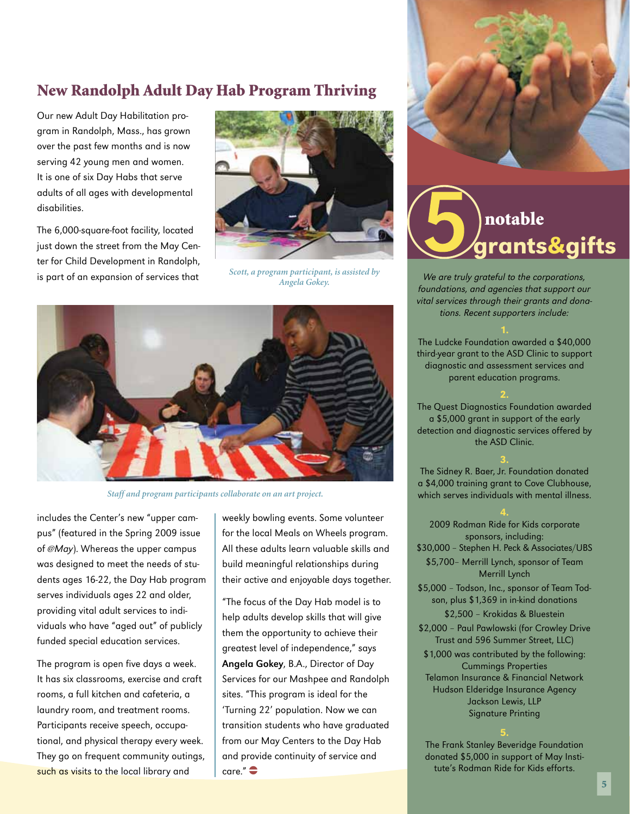#### New Randolph Adult Day Hab Program Thriving

Our new Adult Day Habilitation program in Randolph, Mass., has grown over the past few months and is now serving 42 young men and women. It is one of six Day Habs that serve adults of all ages with developmental disabilities.

The 6,000-square-foot facility, located just down the street from the May Center for Child Development in Randolph,



is part of an expansion of services that  $\frac{Scott, a program part to have a system between a system.}$  We are truly grateful to the corporations, *Scott, a program participant, is assisted by Angela Gokey.*



*Staff and program participants collaborate on an art project.*

includes the Center's new "upper campus" (featured in the Spring 2009 issue of @May). Whereas the upper campus was designed to meet the needs of students ages 16-22, the Day Hab program serves individuals ages 22 and older, providing vital adult services to individuals who have "aged out" of publicly funded special education services.

The program is open five days a week. It has six classrooms, exercise and craft rooms, a full kitchen and cafeteria, a laundry room, and treatment rooms. Participants receive speech, occupational, and physical therapy every week. They go on frequent community outings, such as visits to the local library and

weekly bowling events. Some volunteer for the local Meals on Wheels program. All these adults learn valuable skills and build meaningful relationships during their active and enjoyable days together.

"The focus of the Day Hab model is to help adults develop skills that will give them the opportunity to achieve their greatest level of independence," says Angela Gokey, B.A., Director of Day Services for our Mashpee and Randolph sites. "This program is ideal for the 'Turning 22' population. Now we can transition students who have graduated from our May Centers to the Day Hab and provide continuity of service and  $core''$   $\triangle$ 





foundations, and agencies that support our vital services through their grants and donations. Recent supporters include:

The Ludcke Foundation awarded a \$40,000 third-year grant to the ASD Clinic to support diagnostic and assessment services and parent education programs.

2. The Quest Diagnostics Foundation awarded a \$5,000 grant in support of the early detection and diagnostic services offered by the ASD Clinic.

3. The Sidney R. Baer, Jr. Foundation donated a \$4,000 training grant to Cove Clubhouse, which serves individuals with mental illness.

2009 Rodman Ride for Kids corporate sponsors, including:

\$30,000 – Stephen H. Peck & Associates/UBS

\$5,700– Merrill Lynch, sponsor of Team Merrill Lynch

- \$5,000 Todson, Inc., sponsor of Team Todson, plus \$1,369 in in-kind donations \$2,500 – Krokidas & Bluestein
- \$2,000 Paul Pawlowski (for Crowley Drive Trust and 596 Summer Street, LLC)
- \$1,000 was contributed by the following: Cummings Properties Telamon Insurance & Financial Network Hudson Elderidge Insurance Agency Jackson Lewis, LLP Signature Printing

The Frank Stanley Beveridge Foundation donated \$5,000 in support of May Institute's Rodman Ride for Kids efforts.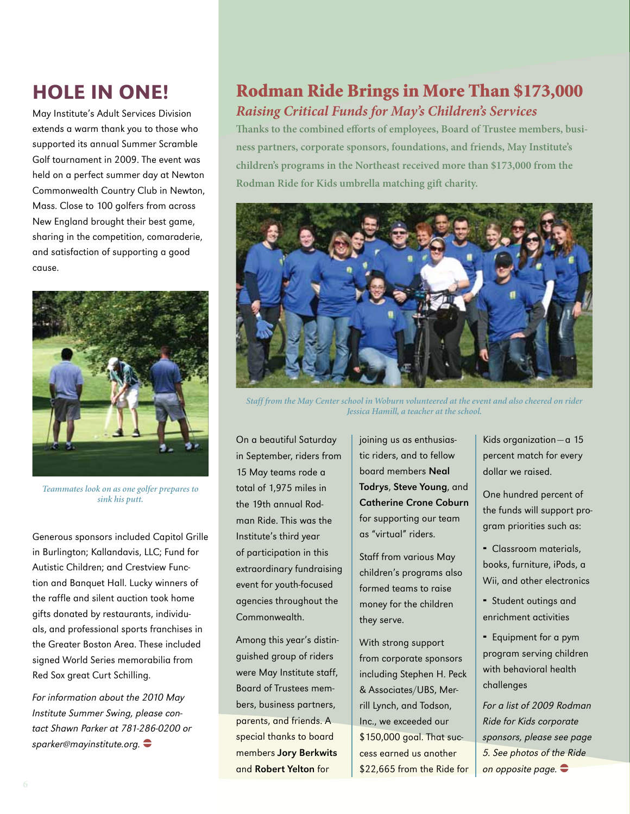## Hole in One!

May Institute's Adult Services Division extends a warm thank you to those who supported its annual Summer Scramble Golf tournament in 2009. The event was held on a perfect summer day at Newton Commonwealth Country Club in Newton, Mass. Close to 100 golfers from across New England brought their best game, sharing in the competition, comaraderie, and satisfaction of supporting a good cause.



*Teammates look on as one golfer prepares to sink his putt.*

Generous sponsors included Capitol Grille in Burlington; Kallandavis, LLC; Fund for Autistic Children; and Crestview Function and Banquet Hall. Lucky winners of the raffle and silent auction took home gifts donated by restaurants, individuals, and professional sports franchises in the Greater Boston Area. These included signed World Series memorabilia from Red Sox great Curt Schilling.

For information about the 2010 May Institute Summer Swing, please contact Shawn Parker at 781-286-0200 or sparker@mayinstitute.org.

## Rodman Ride Brings in More Than \$173,000 *Raising Critical Funds for May's Children's Services*

**Thanks to the combined efforts of employees, Board of Trustee members, business partners, corporate sponsors, foundations, and friends, May Institute's children's programs in the Northeast received more than \$173,000 from the Rodman Ride for Kids umbrella matching gift charity.**



*Staff from the May Center school in Woburn volunteered at the event and also cheered on rider Jessica Hamill, a teacher at the school.*

On a beautiful Saturday in September, riders from 15 May teams rode a total of 1,975 miles in the 19th annual Rodman Ride. This was the Institute's third year of participation in this extraordinary fundraising event for youth-focused agencies throughout the Commonwealth.

Among this year's distinguished group of riders were May Institute staff, Board of Trustees members, business partners, parents, and friends. A special thanks to board members Jory Berkwits and Robert Yelton for

joining us as enthusiastic riders, and to fellow board members Neal Todrys, Steve Young, and Catherine Crone Coburn for supporting our team as "virtual" riders.

Staff from various May children's programs also formed teams to raise money for the children they serve.

With strong support from corporate sponsors including Stephen H. Peck & Associates/UBS, Merrill Lynch, and Todson, Inc., we exceeded our \$150,000 goal. That success earned us another \$22,665 from the Ride for

Kids organization—a 15 percent match for every dollar we raised.

One hundred percent of the funds will support program priorities such as:

- Classroom materials, books, furniture, iPods, a Wii, and other electronics
- Student outings and enrichment activities
- **Equipment for a pym** program serving children with behavioral health challenges

For a list of 2009 Rodman Ride for Kids corporate sponsors, please see page 5. See photos of the Ride on opposite page.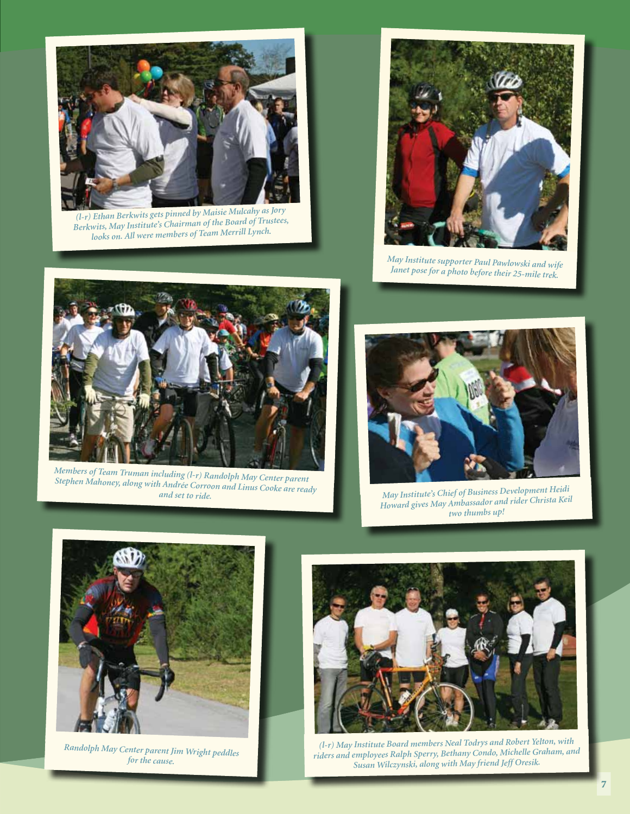

*(l-r) Ethan Berkwits gets pinned by Maisie Mulcahy as Jory Berkwits, May Institute's Chairman of the Board of Trustees, looks on. All were members of Team Merrill Lynch.*



*May Institute supporter Paul Pawlowski and wife Janet pose for a photo before their 25-mile trek.* 



*Members of Team Truman including (l-r) Randolph May Center parent Stephen Mahoney, along with Andrée Corroon and Linus Cooke are ready and set to ride.*



*May Institute's Chief of Business Development Heidi Howard gives May Ambassador and rider Christa Keil two thumbs up!* 



*Randolph May Center parent Jim Wright peddles for the cause.*



*(l-r) May Institute Board members Neal Todrys and Robert Yelton, with riders and employees Ralph Sperry, Bethany Condo, Michelle Graham, and Susan Wilczynski, along with May friend Jeff Oresik.*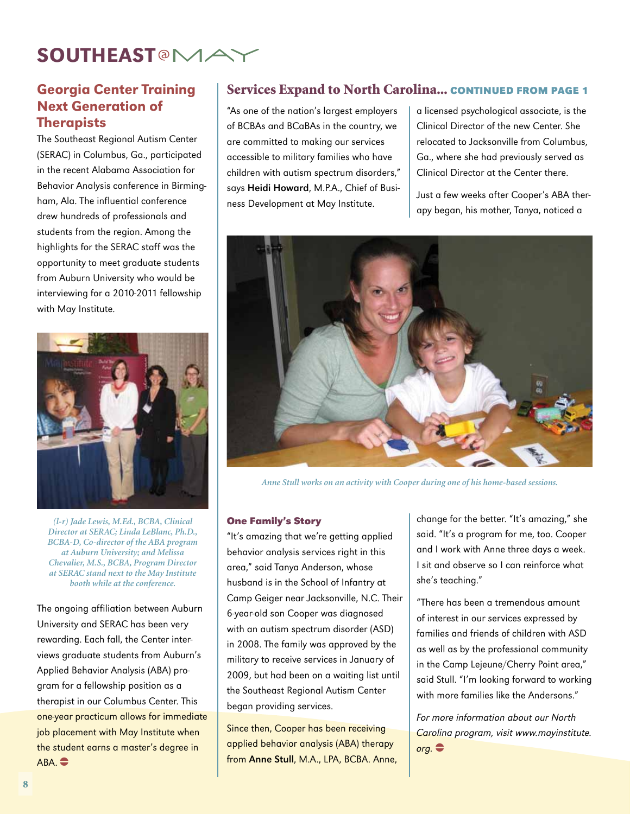## **SOUTHEAST<sup>@</sup>MA**

#### Georgia Center Training Next Generation of **Therapists**

The Southeast Regional Autism Center (SERAC) in Columbus, Ga., participated in the recent Alabama Association for Behavior Analysis conference in Birmingham, Ala. The influential conference drew hundreds of professionals and students from the region. Among the highlights for the SERAC staff was the opportunity to meet graduate students from Auburn University who would be interviewing for a 2010-2011 fellowship with May Institute.



*(l-r) Jade Lewis, M.Ed., BCBA, Clinical Director at SERAC; Linda LeBlanc, Ph.D., BCBA-D, Co-director of the ABA program at Auburn University; and Melissa Chevalier, M.S., BCBA, Program Director at SERAC stand next to the May Institute booth while at the conference.*

The ongoing affiliation between Auburn University and SERAC has been very rewarding. Each fall, the Center interviews graduate students from Auburn's Applied Behavior Analysis (ABA) program for a fellowship position as a therapist in our Columbus Center. This one-year practicum allows for immediate job placement with May Institute when the student earns a master's degree in  $ABA.$   $\bigoplus$ 

#### Services Expand to North Carolina... **continued from page 1**

"As one of the nation's largest employers of BCBAs and BCaBAs in the country, we are committed to making our services accessible to military families who have children with autism spectrum disorders," says Heidi Howard, M.P.A., Chief of Business Development at May Institute.

a licensed psychological associate, is the Clinical Director of the new Center. She relocated to Jacksonville from Columbus, Ga., where she had previously served as Clinical Director at the Center there.

Just a few weeks after Cooper's ABA therapy began, his mother, Tanya, noticed a



*Anne Stull works on an activity with Cooper during one of his home-based sessions.* 

#### **One Family's Story**

"It's amazing that we're getting applied behavior analysis services right in this area," said Tanya Anderson, whose husband is in the School of Infantry at Camp Geiger near Jacksonville, N.C. Their 6-year-old son Cooper was diagnosed with an autism spectrum disorder (ASD) in 2008. The family was approved by the military to receive services in January of 2009, but had been on a waiting list until the Southeast Regional Autism Center began providing services.

Since then, Cooper has been receiving applied behavior analysis (ABA) therapy from Anne Stull, M.A., LPA, BCBA. Anne, change for the better. "It's amazing," she said. "It's a program for me, too. Cooper and I work with Anne three days a week. I sit and observe so I can reinforce what she's teaching."

"There has been a tremendous amount of interest in our services expressed by families and friends of children with ASD as well as by the professional community in the Camp Lejeune/Cherry Point area," said Stull. "I'm looking forward to working with more families like the Andersons."

For more information about our North Carolina program, visit www.mayinstitute.  $\mathsf{orq.}$  $\bullet$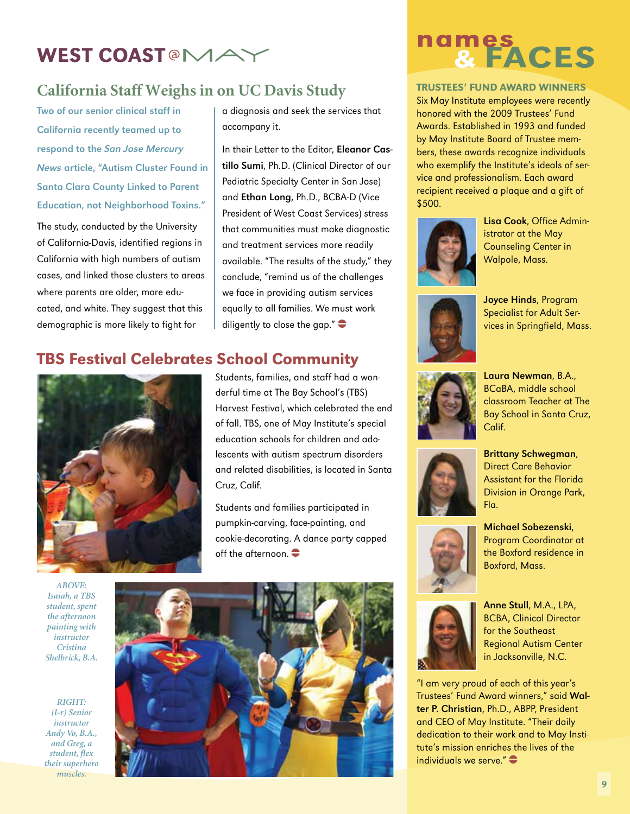## WEST COAST<sup>®</sup>MA

#### **California Staff Weighs in on UC Davis Study**

Two of our senior clinical staff in California recently teamed up to respond to the San Jose Mercury News article, "Autism Cluster Found in Santa Clara County Linked to Parent Education, not Neighborhood Toxins."

The study, conducted by the University of California-Davis, identified regions in California with high numbers of autism cases, and linked those clusters to areas where parents are older, more educated, and white. They suggest that this demographic is more likely to fight for

#### TBS Festival Celebrates School Community



a diagnosis and seek the services that accompany it.

In their Letter to the Editor, Eleanor Castillo Sumi, Ph.D. (Clinical Director of our Pediatric Specialty Center in San Jose) and Ethan Long, Ph.D., BCBA-D (Vice President of West Coast Services) stress that communities must make diagnostic and treatment services more readily available. "The results of the study," they conclude, "remind us of the challenges we face in providing autism services equally to all families. We must work diligently to close the gap." $\bullet$ 

#### Students, families, and staff had a wonderful time at The Bay School's (TBS) Harvest Festival, which celebrated the end of fall. TBS, one of May Institute's special education schools for children and adolescents with autism spectrum disorders and related disabilities, is located in Santa Cruz, Calif.

Students and families participated in pumpkin-carving, face-painting, and cookie-decorating. A dance party capped off the afternoon.  $\bullet$ 

*ABOVE: Isaiah, a TBS student, spent the afternoon painting with instructor Cristina Shelbrick, B.A.*

*RIGHT: (l-r) Senior instructor Andy Vo, B.A., and Greg, a student, flex their superhero muscles.*



# names<br>& FACES

#### Trustees' Fund Award Winners

Six May Institute employees were recently honored with the 2009 Trustees' Fund Awards. Established in 1993 and funded by May Institute Board of Trustee members, these awards recognize individuals who exemplify the Institute's ideals of service and professionalism. Each award recipient received a plaque and a gift of \$500.



Lisa Cook, Office Administrator at the May Counseling Center in Walpole, Mass.



Joyce Hinds, Program Specialist for Adult Services in Springfield, Mass.



Laura Newman, B.A., BCaBA, middle school classroom Teacher at The Bay School in Santa Cruz, Calif.



Brittany Schwegman, Direct Care Behavior Assistant for the Florida Division in Orange Park, Fla.



Michael Sobezenski, Program Coordinator at the Boxford residence in Boxford, Mass.



Anne Stull, M.A., LPA, BCBA, Clinical Director for the Southeast Regional Autism Center in Jacksonville, N.C.

"I am very proud of each of this year's Trustees' Fund Award winners," said Walter P. Christian, Ph.D., ABPP, President and CEO of May Institute. "Their daily dedication to their work and to May Institute's mission enriches the lives of the individuals we serve." $\bullet$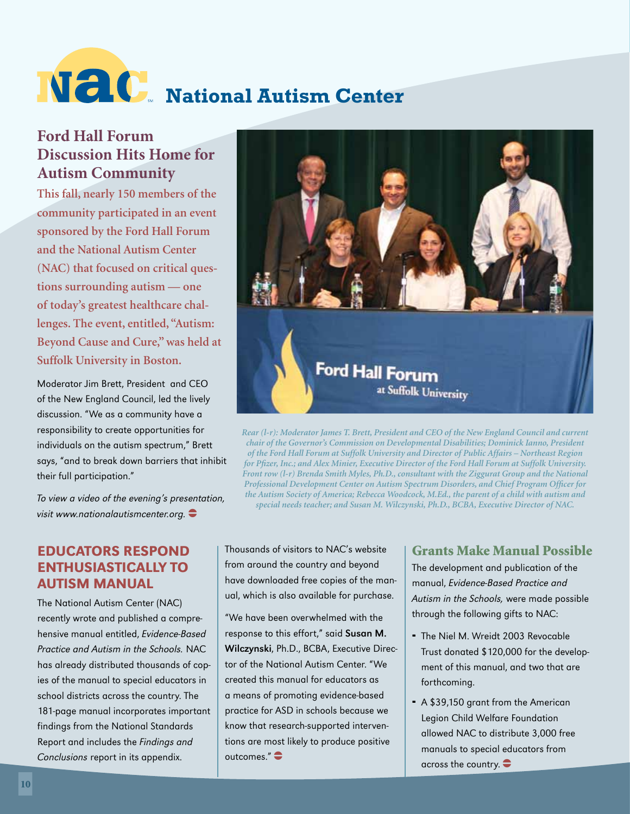# **National Autism Center**

### **Ford Hall Forum Discussion Hits Home for Autism Community**

**This fall, nearly 150 members of the community participated in an event sponsored by the Ford Hall Forum and the National Autism Center (NAC) that focused on critical questions surrounding autism — one of today's greatest healthcare challenges. The event, entitled, "Autism: Beyond Cause and Cure," was held at Suffolk University in Boston.** 

Moderator Jim Brett, President and CEO of the New England Council, led the lively discussion. "We as a community have a responsibility to create opportunities for individuals on the autism spectrum," Brett says, "and to break down barriers that inhibit their full participation."

To view a video of the evening's presentation, visit www.nationalautismcenter.org.  $\bullet$ 

#### educators Respond enthusiastically to Autism Manual

The National Autism Center (NAC) recently wrote and published a comprehensive manual entitled, Evidence-Based Practice and Autism in the Schools. NAC has already distributed thousands of copies of the manual to special educators in school districts across the country. The 181-page manual incorporates important findings from the National Standards Report and includes the Findings and Conclusions report in its appendix.



*Rear (l-r): Moderator James T. Brett, President and CEO of the New England Council and current chair of the Governor's Commission on Developmental Disabilities; Dominick Ianno, President of the Ford Hall Forum at Suffolk University and Director of Public Affairs – Northeast Region for Pfizer, Inc.; and Alex Minier, Executive Director of the Ford Hall Forum at Suffolk University. Front row (l-r) Brenda Smith Myles, Ph.D., consultant with the Ziggurat Group and the National Professional Development Center on Autism Spectrum Disorders, and Chief Program Officer for the Autism Society of America; Rebecca Woodcock, M.Ed., the parent of a child with autism and special needs teacher; and Susan M. Wilczynski, Ph.D., BCBA, Executive Director of NAC.*

Thousands of visitors to NAC's website from around the country and beyond have downloaded free copies of the manual, which is also available for purchase.

"We have been overwhelmed with the response to this effort," said Susan M. Wilczynski, Ph.D., BCBA, Executive Director of the National Autism Center. "We created this manual for educators as a means of promoting evidence-based practice for ASD in schools because we know that research-supported interventions are most likely to produce positive outcomes." $\bullet$ 

#### Grants Make Manual Possible

The development and publication of the manual, Evidence-Based Practice and Autism in the Schools, were made possible through the following gifts to NAC:

- The Niel M. Wreidt 2003 Revocable Trust donated \$120,000 for the development of this manual, and two that are forthcoming.
- A \$39,150 grant from the American Legion Child Welfare Foundation allowed NAC to distribute 3,000 free manuals to special educators from across the country  $\bullet$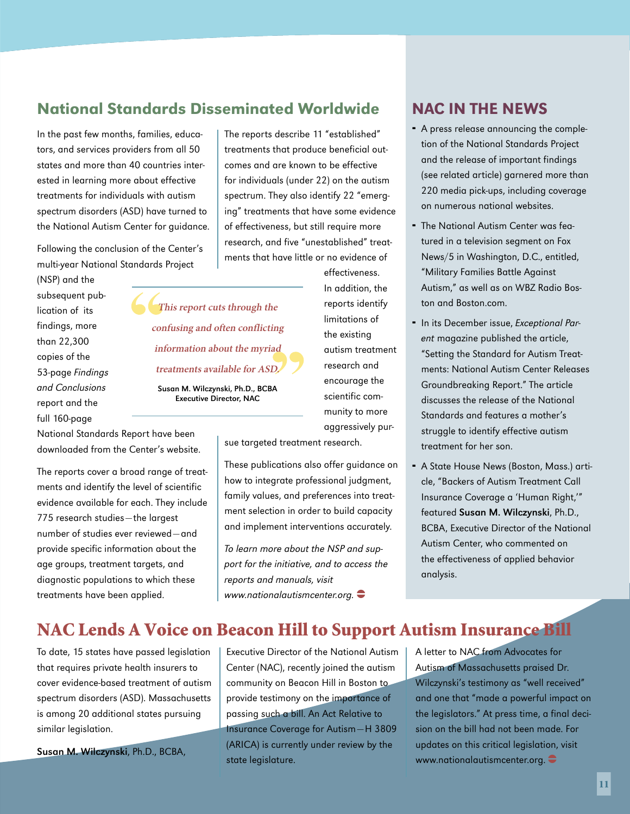#### National Standards Disseminated Worldwide

In the past few months, families, educators, and services providers from all 50 states and more than 40 countries interested in learning more about effective treatments for individuals with autism spectrum disorders (ASD) have turned to the National Autism Center for guidance.

Following the conclusion of the Center's multi-year National Standards Project

(NSP) and the subsequent publication of its findings, more than 22,300 copies of the 53-page Findings and Conclusions report and the full 160-page

The reports describe 11 "established" treatments that produce beneficial outcomes and are known to be effective for individuals (under 22) on the autism spectrum. They also identify 22 "emerging" treatments that have some evidence of effectiveness, but still require more research, and five "unestablished" treatments that have little or no evidence of

**This report cuts through the confusing and often conflicting information about the myriad treatments available for ASD.**

Susan M. Wilczynski, Ph.D., BCBA Executive Director, NAC

National Standards Report have been downloaded from the Center's website.

The reports cover a broad range of treatments and identify the level of scientific evidence available for each. They include 775 research studies—the largest number of studies ever reviewed—and provide specific information about the age groups, treatment targets, and diagnostic populations to which these treatments have been applied.

limitations of the existing autism treatment research and encourage the scientific community to more aggressively pur-

effectiveness. In addition, the reports identify

sue targeted treatment research.

These publications also offer guidance on how to integrate professional judgment, family values, and preferences into treatment selection in order to build capacity and implement interventions accurately.

To learn more about the NSP and support for the initiative, and to access the reports and manuals, visit www.nationalautismcenter.org.  $\bullet$ 

#### NAC in the News

- A press release announcing the completion of the National Standards Project and the release of important findings (see related article) garnered more than 220 media pick-ups, including coverage on numerous national websites.
- The National Autism Center was featured in a television segment on Fox News/5 in Washington, D.C., entitled, "Military Families Battle Against Autism," as well as on WBZ Radio Boston and Boston.com.
- In its December issue, Exceptional Parent magazine published the article, "Setting the Standard for Autism Treatments: National Autism Center Releases Groundbreaking Report." The article discusses the release of the National Standards and features a mother's struggle to identify effective autism treatment for her son.
- A State House News (Boston, Mass.) article, "Backers of Autism Treatment Call Insurance Coverage a 'Human Right,'" featured Susan M. Wilczynski, Ph.D., BCBA, Executive Director of the National Autism Center, who commented on the effectiveness of applied behavior analysis.

### NAC Lends A Voice on Beacon Hill to Support Autism Insurance Bill

To date, 15 states have passed legislation that requires private health insurers to cover evidence-based treatment of autism spectrum disorders (ASD). Massachusetts is among 20 additional states pursuing similar legislation.

Susan M. Wilczynski, Ph.D., BCBA,

Executive Director of the National Autism Center (NAC), recently joined the autism community on Beacon Hill in Boston to provide testimony on the importance of passing such a bill. An Act Relative to Insurance Coverage for Autism—H 3809 (ARICA) is currently under review by the state legislature.

A letter to NAC from Advocates for Autism of Massachusetts praised Dr. Wilczynski's testimony as "well received" and one that "made a powerful impact on the legislators." At press time, a final decision on the bill had not been made. For updates on this critical legislation, visit www.nationalautismcenter.org.  $\bullet$